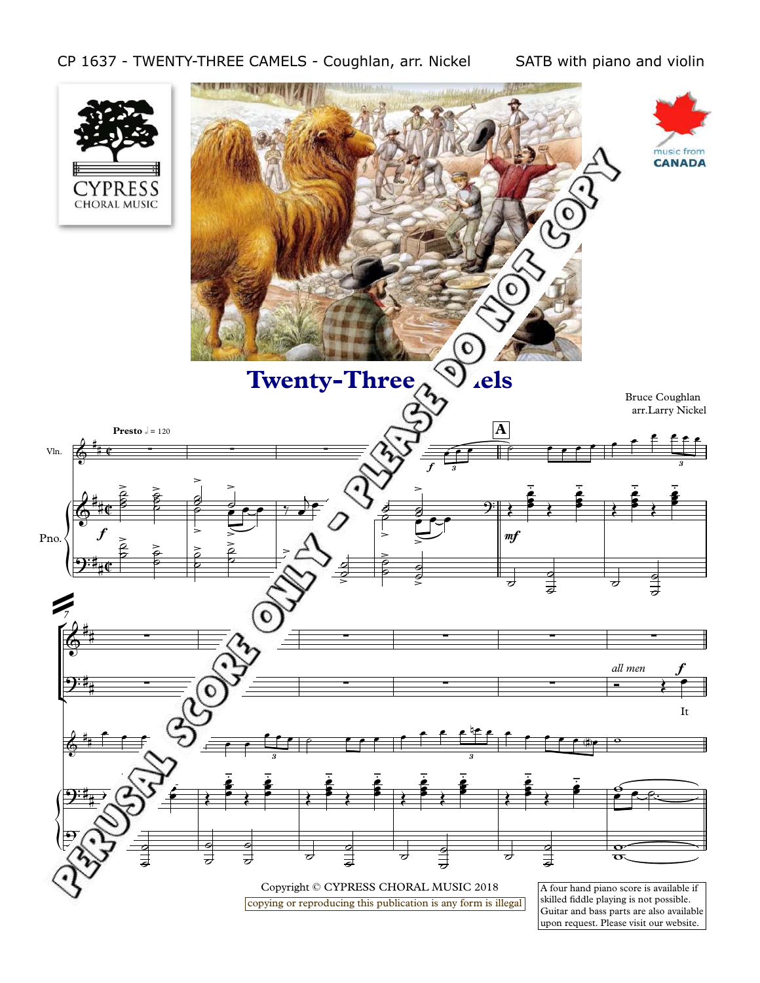## CP 1637 - TWENTY-THREE CAMELS - Coughlan, arr. Nickel SATB with piano and violin



upon request. Please visit our website.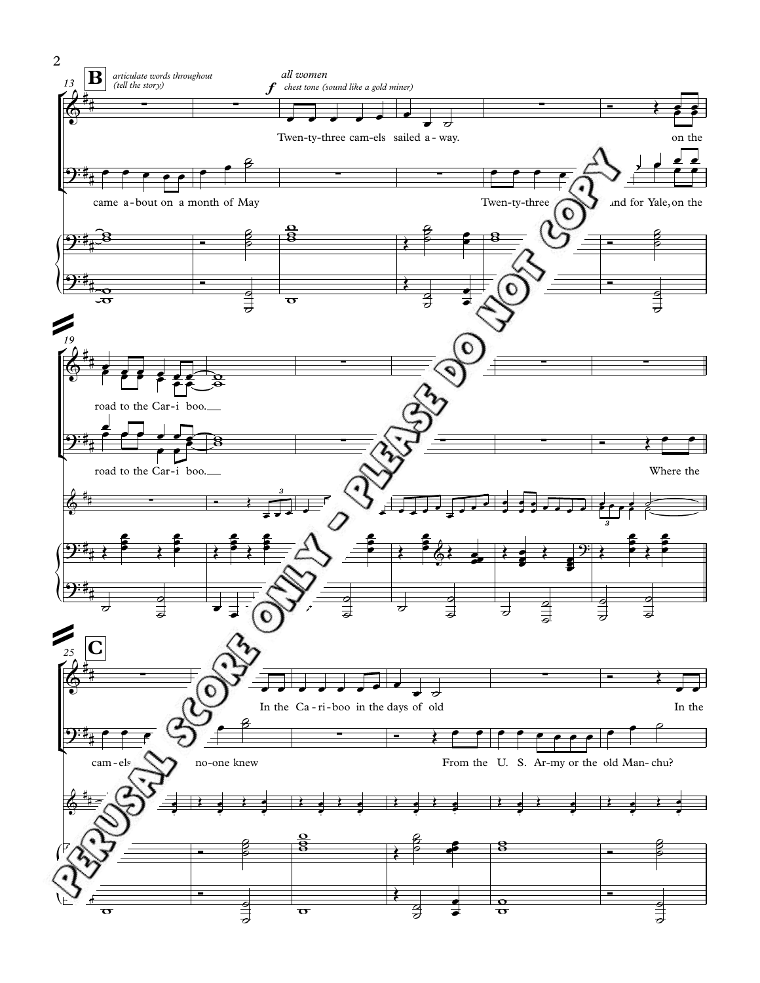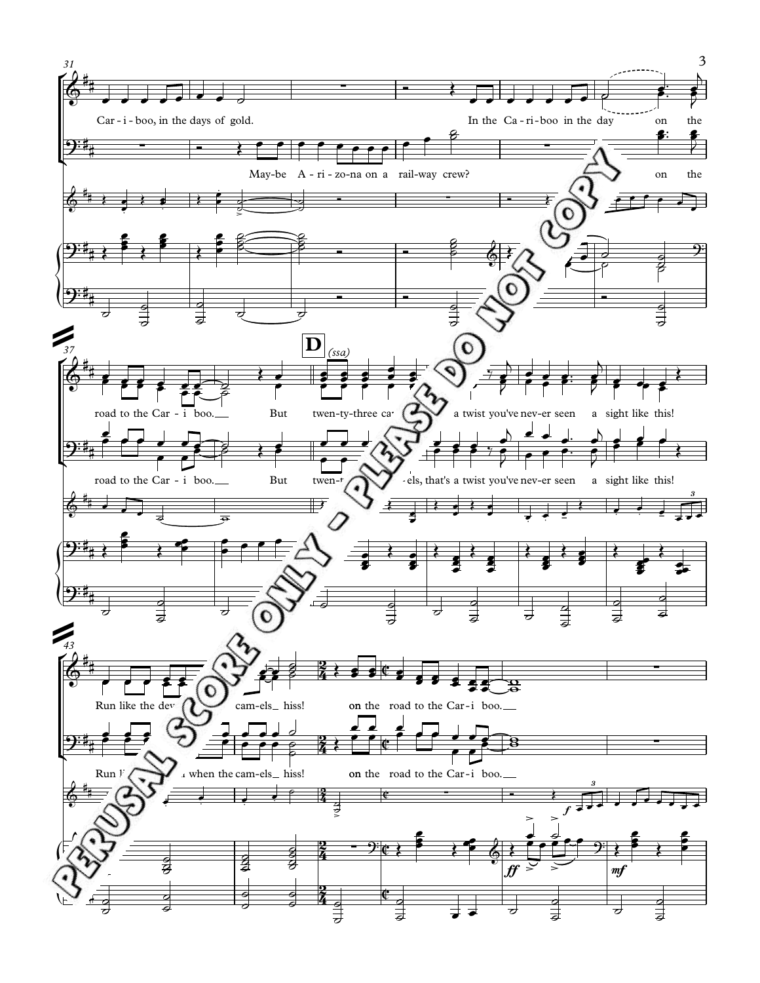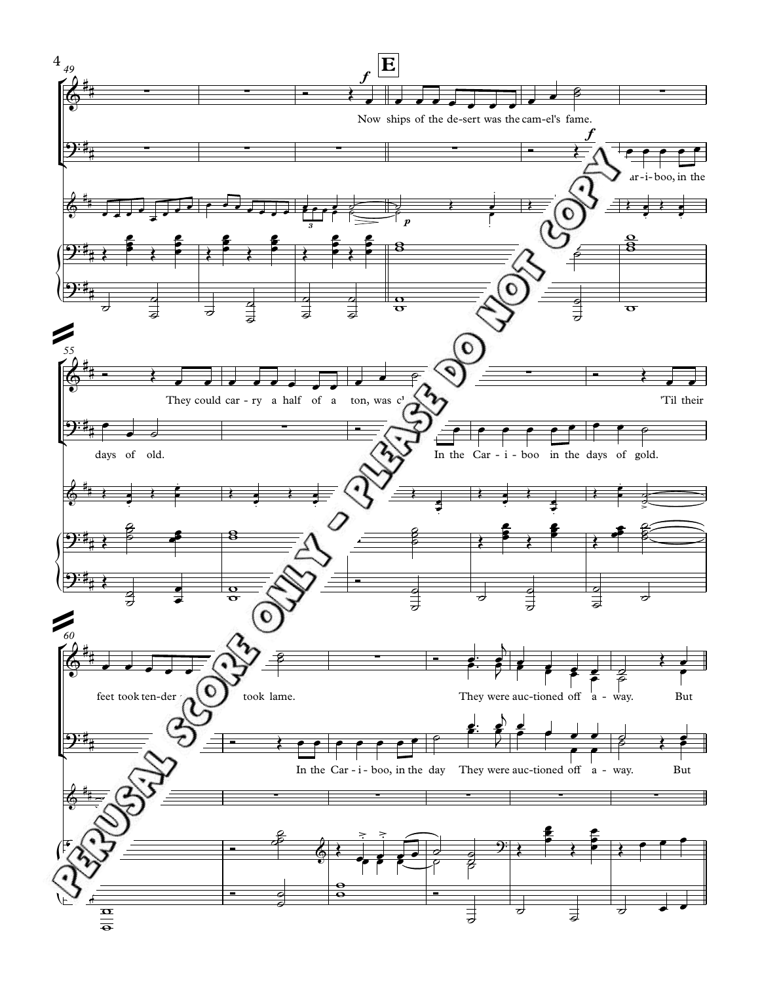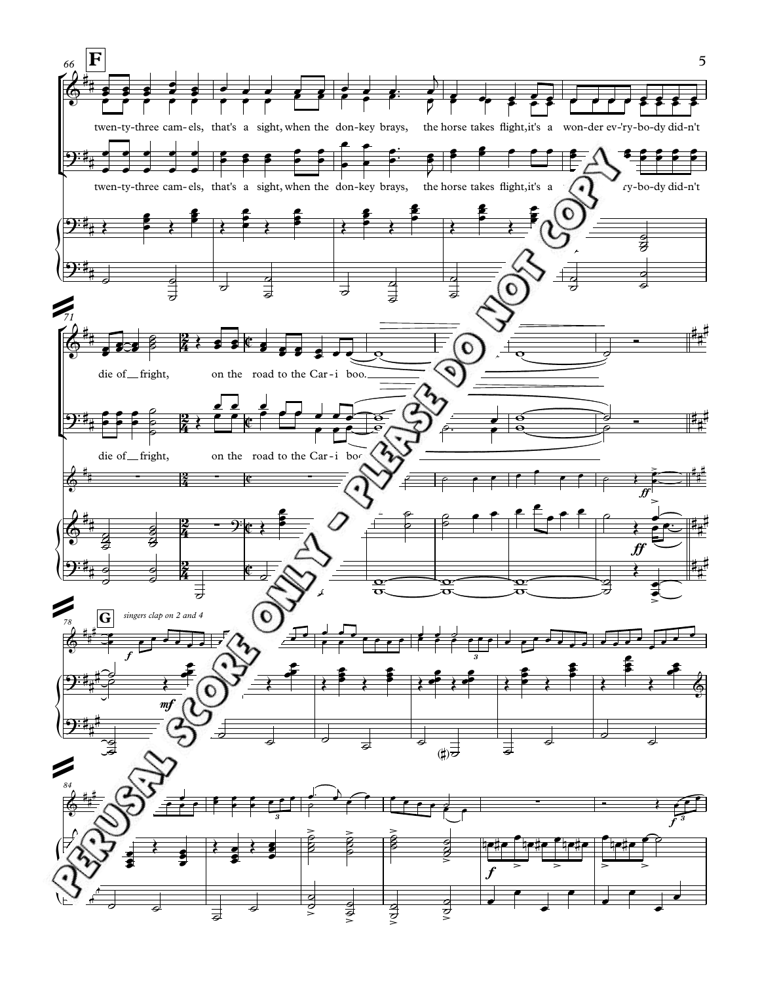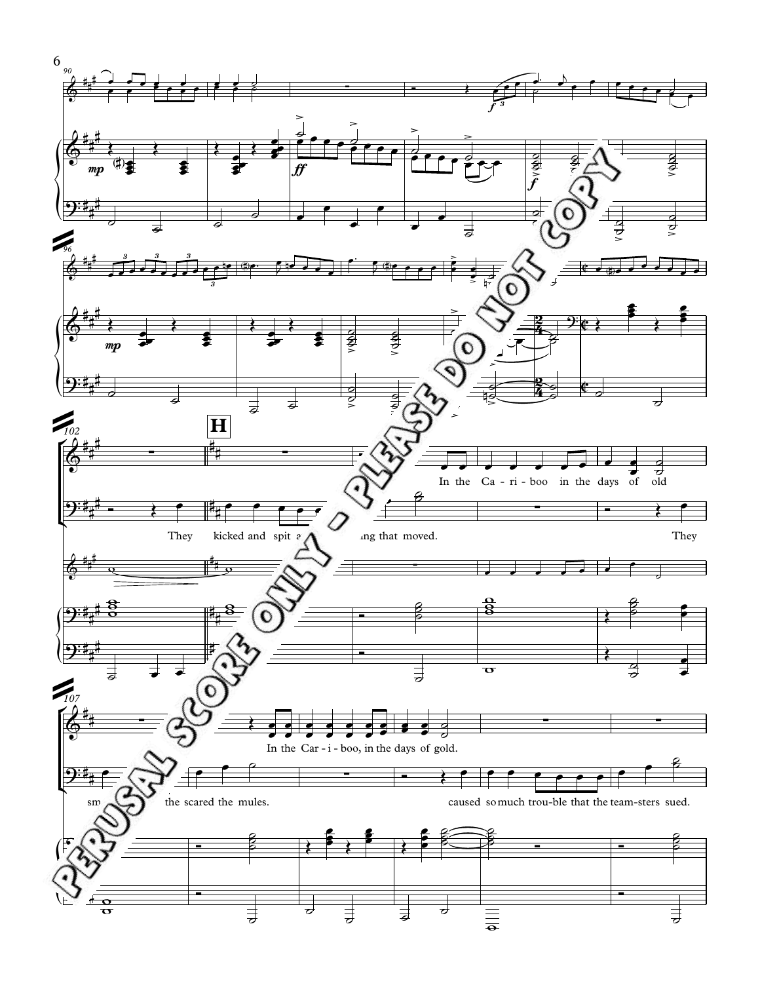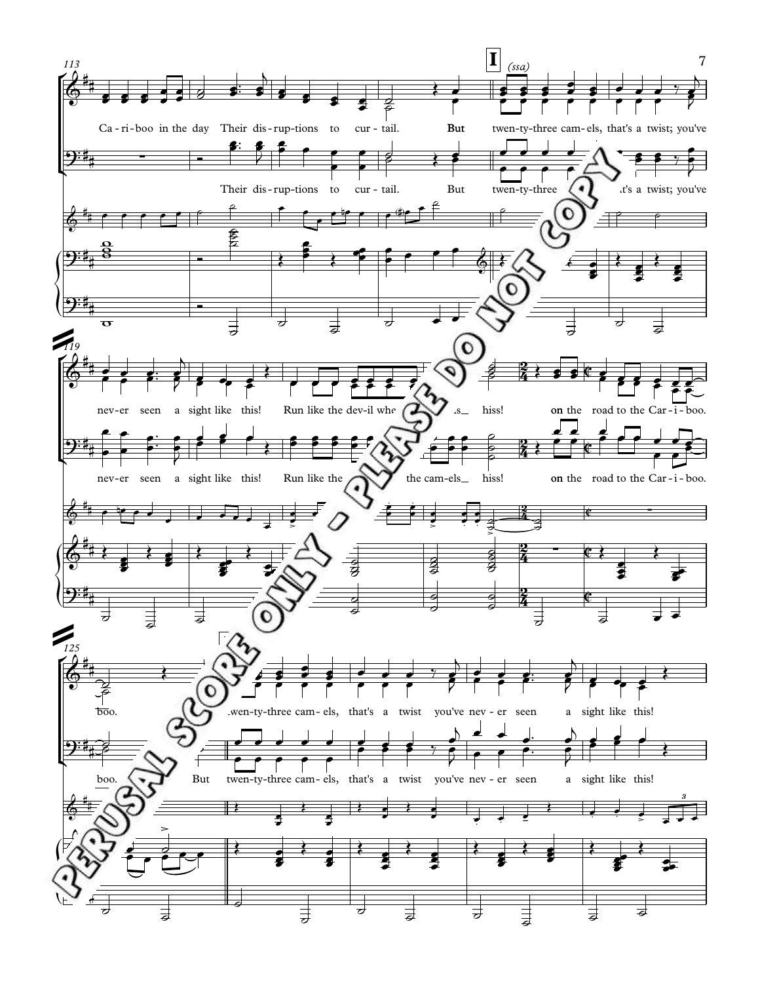